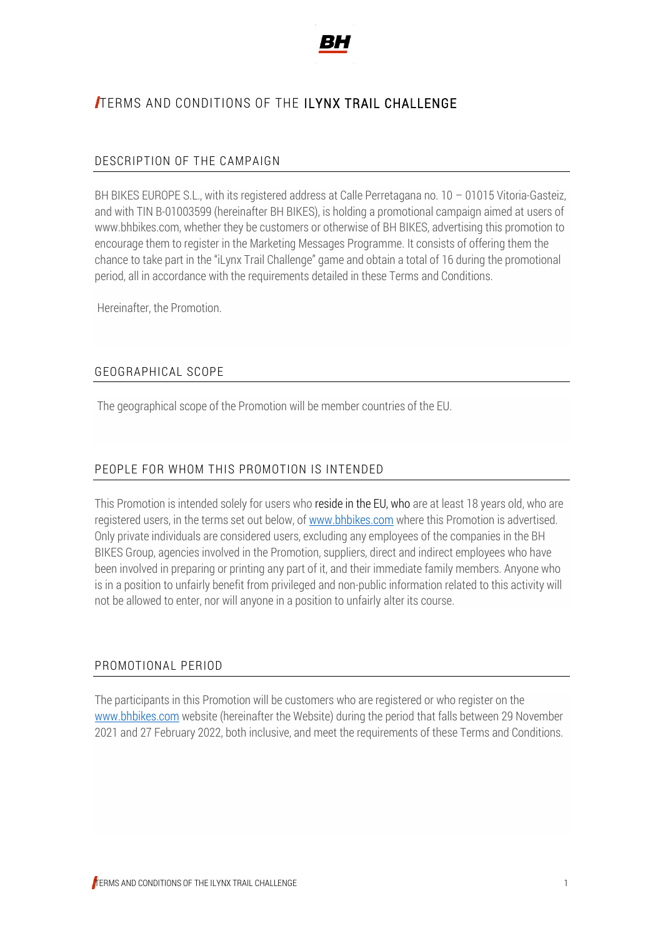

# TERMS AND CONDITIONS OF THE ILYNX TRAIL CHALLENGE

#### DESCRIPTION OF THE CAMPAIGN

BH BIKES EUROPE S.L., with its registered address at Calle Perretagana no. 10 – 01015 Vitoria-Gasteiz, and with TIN B-01003599 (hereinafter BH BIKES), is holding a promotional campaign aimed at users of www.bhbikes.com, whether they be customers or otherwise of BH BIKES, advertising this promotion to encourage them to register in the Marketing Messages Programme. It consists of offering them the chance to take part in the "iLynx Trail Challenge" game and obtain a total of 16 during the promotional period, all in accordance with the requirements detailed in these Terms and Conditions.

Hereinafter, the Promotion.

#### GEOGRAPHICAL SCOPE

The geographical scope of the Promotion will be member countries of the EU.

### PEOPLE FOR WHOM THIS PROMOTION IS INTENDED

This Promotion is intended solely for users who reside in the EU, who are at least 18 years old, who are registered users, in the terms set out below, o[f www.bhbikes.com](http://www.bhbikes.com/) where this Promotion is advertised. Only private individuals are considered users, excluding any employees of the companies in the BH BIKES Group, agencies involved in the Promotion, suppliers, direct and indirect employees who have been involved in preparing or printing any part of it, and their immediate family members. Anyone who is in a position to unfairly benefit from privileged and non-public information related to this activity will not be allowed to enter, nor will anyone in a position to unfairly alter its course.

#### PROMOTIONAL PERIOD

The participants in this Promotion will be customers who are registered or who register on the [www.bhbikes.com](http://www.bhbikes.com/) website (hereinafter the Website) during the period that falls between 29 November 2021 and 27 February 2022, both inclusive, and meet the requirements of these Terms and Conditions.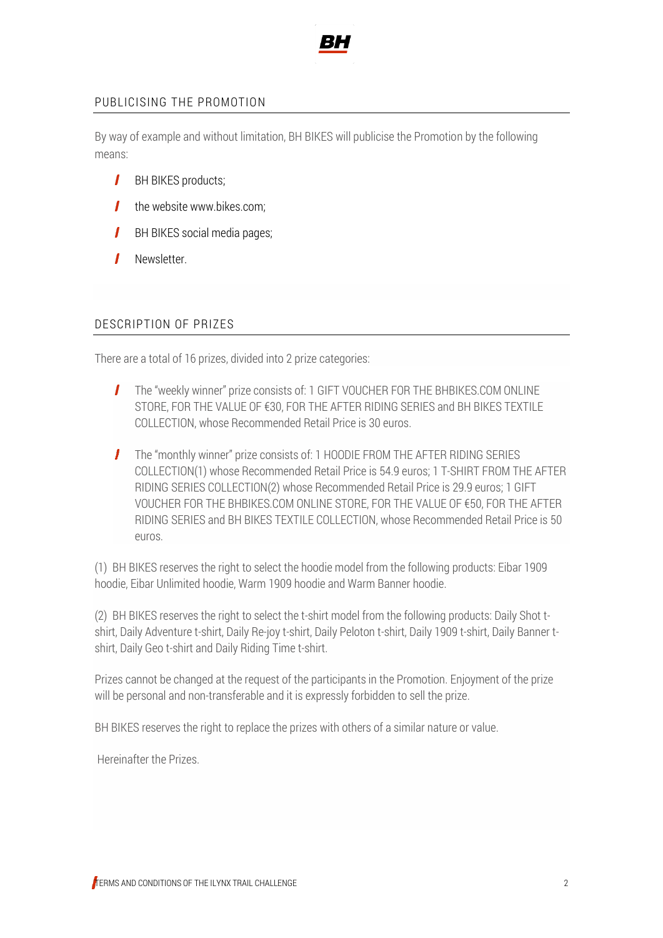

#### PUBLICISING THE PROMOTION

By way of example and without limitation, BH BIKES will publicise the Promotion by the following means:

- $\mathbf{I}$ BH BIKES products;
- $\mathbf{I}$ the website www.bikes.com;
- $\mathbf{I}$ BH BIKES social media pages;
- 1 Newsletter.

#### DESCRIPTION OF PRIZES

There are a total of 16 prizes, divided into 2 prize categories:

- $\mathbf{I}$ The "weekly winner" prize consists of: 1 GIFT VOUCHER FOR THE BHBIKES.COM ONLINE STORE, FOR THE VALUE OF €30, FOR THE AFTER RIDING SERIES and BH BIKES TEXTILE COLLECTION, whose Recommended Retail Price is 30 euros.
- The "monthly winner" prize consists of: 1 HOODIE FROM THE AFTER RIDING SERIES COLLECTION(1) whose Recommended Retail Price is 54.9 euros; 1 T-SHIRT FROM THE AFTER RIDING SERIES COLLECTION(2) whose Recommended Retail Price is 29.9 euros; 1 GIFT VOUCHER FOR THE BHBIKES.COM ONLINE STORE, FOR THE VALUE OF €50, FOR THE AFTER RIDING SERIES and BH BIKES TEXTILE COLLECTION, whose Recommended Retail Price is 50 euros.

(1) BH BIKES reserves the right to select the hoodie model from the following products: Eibar 1909 hoodie, Eibar Unlimited hoodie, Warm 1909 hoodie and Warm Banner hoodie.

(2) BH BIKES reserves the right to select the t-shirt model from the following products: Daily Shot tshirt, Daily Adventure t-shirt, Daily Re-joy t-shirt, Daily Peloton t-shirt, Daily 1909 t-shirt, Daily Banner tshirt, Daily Geo t-shirt and Daily Riding Time t-shirt.

Prizes cannot be changed at the request of the participants in the Promotion. Enjoyment of the prize will be personal and non-transferable and it is expressly forbidden to sell the prize.

BH BIKES reserves the right to replace the prizes with others of a similar nature or value.

Hereinafter the Prizes.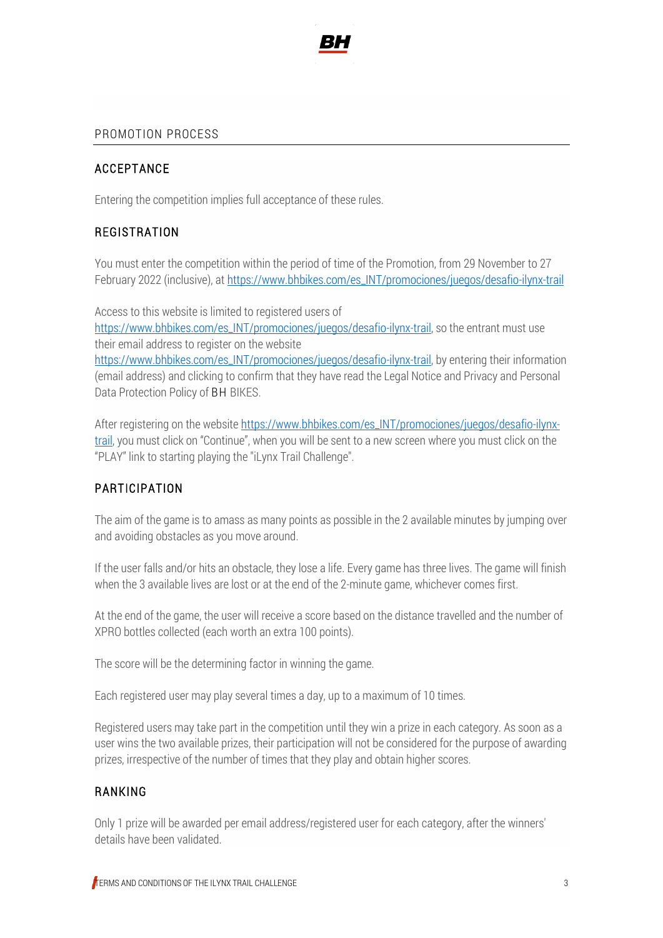

#### PROMOTION PROCESS

#### ACCEPTANCE

Entering the competition implies full acceptance of these rules.

### REGISTRATION

You must enter the competition within the period of time of the Promotion, from 29 November to 27 February 2022 (inclusive), at [https://www.bhbikes.com/es\\_INT/promociones/juegos/desafio-ilynx-trail](https://www.bhbikes.com/es_INT/promociones/juegos/desafio-ilynx-trail)

Access to this website is limited to registered users of [https://www.bhbikes.com/es\\_INT/promociones/juegos/desafio-ilynx-trail,](https://www.bhbikes.com/es_INT/promociones/juegos/desafio-ilynx-trail) so the entrant must use their email address to register on the website [https://www.bhbikes.com/es\\_INT/promociones/juegos/desafio-ilynx-trail,](https://www.bhbikes.com/es_INT/promociones/juegos/desafio-ilynx-trail) by entering their information (email address) and clicking to confirm that they have read the Legal Notice and Privacy and Personal Data Protection Policy of BH BIKES.

After registering on the websit[e https://www.bhbikes.com/es\\_INT/promociones/juegos/desafio-ilynx](https://www.bhbikes.com/es_INT/promociones/juegos/desafio-ilynx-trail)[trail](https://www.bhbikes.com/es_INT/promociones/juegos/desafio-ilynx-trail), you must click on "Continue", when you will be sent to a new screen where you must click on the "PLAY" link to starting playing the "iLynx Trail Challenge".

#### PARTICIPATION

The aim of the game is to amass as many points as possible in the 2 available minutes by jumping over and avoiding obstacles as you move around.

If the user falls and/or hits an obstacle, they lose a life. Every game has three lives. The game will finish when the 3 available lives are lost or at the end of the 2-minute game, whichever comes first.

At the end of the game, the user will receive a score based on the distance travelled and the number of XPRO bottles collected (each worth an extra 100 points).

The score will be the determining factor in winning the game.

Each registered user may play several times a day, up to a maximum of 10 times.

Registered users may take part in the competition until they win a prize in each category. As soon as a user wins the two available prizes, their participation will not be considered for the purpose of awarding prizes, irrespective of the number of times that they play and obtain higher scores.

#### RANKING

Only 1 prize will be awarded per email address/registered user for each category, after the winners' details have been validated.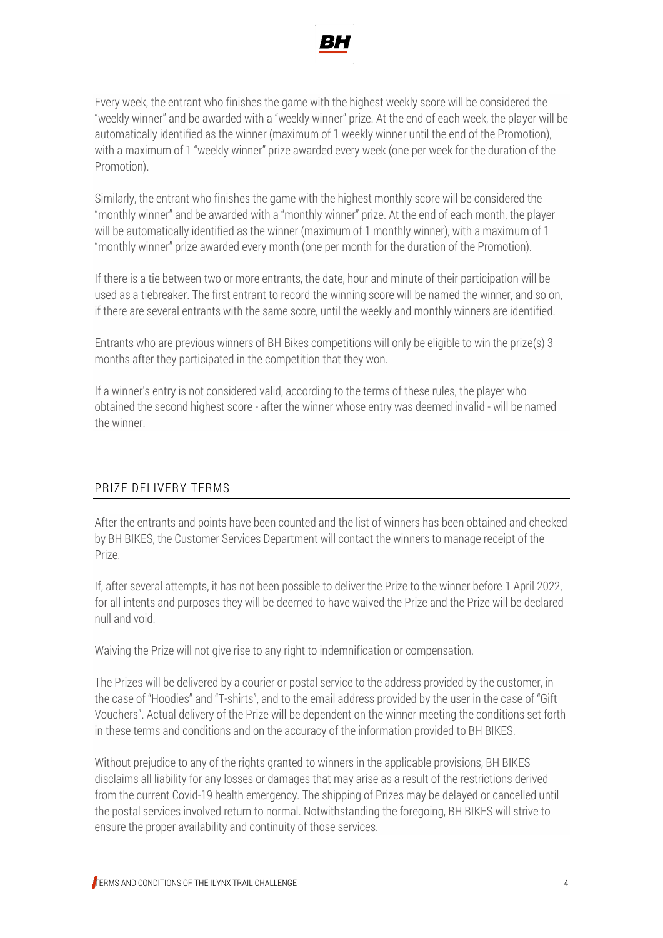

Every week, the entrant who finishes the game with the highest weekly score will be considered the "weekly winner" and be awarded with a "weekly winner" prize. At the end of each week, the player will be automatically identified as the winner (maximum of 1 weekly winner until the end of the Promotion), with a maximum of 1 "weekly winner" prize awarded every week (one per week for the duration of the Promotion).

Similarly, the entrant who finishes the game with the highest monthly score will be considered the "monthly winner" and be awarded with a "monthly winner" prize. At the end of each month, the player will be automatically identified as the winner (maximum of 1 monthly winner), with a maximum of 1 "monthly winner" prize awarded every month (one per month for the duration of the Promotion).

If there is a tie between two or more entrants, the date, hour and minute of their participation will be used as a tiebreaker. The first entrant to record the winning score will be named the winner, and so on, if there are several entrants with the same score, until the weekly and monthly winners are identified.

Entrants who are previous winners of BH Bikes competitions will only be eligible to win the prize(s) 3 months after they participated in the competition that they won.

If a winner's entry is not considered valid, according to the terms of these rules, the player who obtained the second highest score - after the winner whose entry was deemed invalid - will be named the winner.

#### PRIZE DELIVERY TERMS

After the entrants and points have been counted and the list of winners has been obtained and checked by BH BIKES, the Customer Services Department will contact the winners to manage receipt of the Prize.

If, after several attempts, it has not been possible to deliver the Prize to the winner before 1 April 2022, for all intents and purposes they will be deemed to have waived the Prize and the Prize will be declared null and void.

Waiving the Prize will not give rise to any right to indemnification or compensation.

The Prizes will be delivered by a courier or postal service to the address provided by the customer, in the case of "Hoodies" and "T-shirts", and to the email address provided by the user in the case of "Gift Vouchers". Actual delivery of the Prize will be dependent on the winner meeting the conditions set forth in these terms and conditions and on the accuracy of the information provided to BH BIKES.

Without prejudice to any of the rights granted to winners in the applicable provisions, BH BIKES disclaims all liability for any losses or damages that may arise as a result of the restrictions derived from the current Covid-19 health emergency. The shipping of Prizes may be delayed or cancelled until the postal services involved return to normal. Notwithstanding the foregoing, BH BIKES will strive to ensure the proper availability and continuity of those services.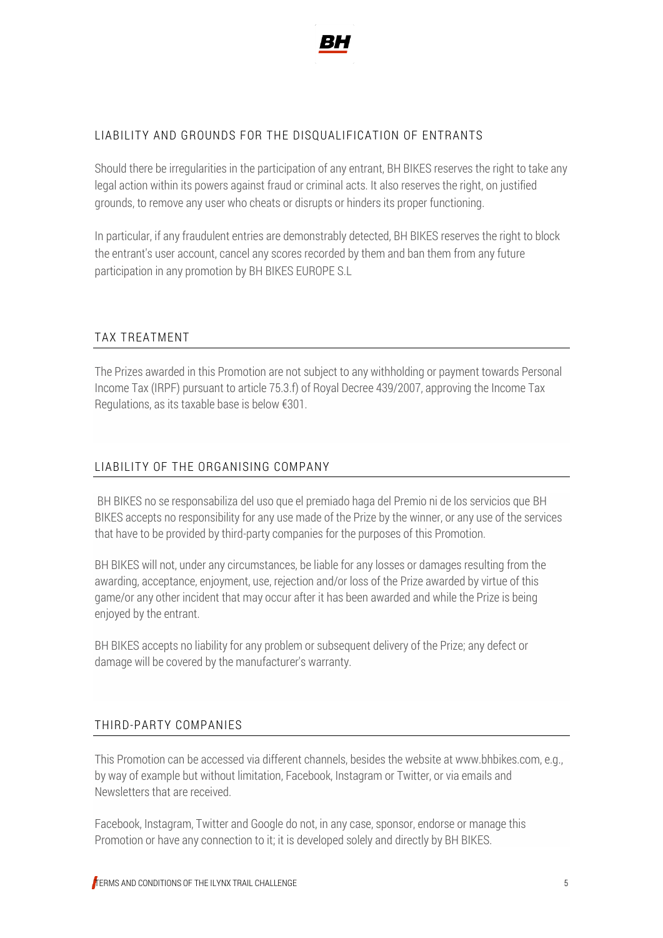

#### LIABILITY AND GROUNDS FOR THE DISQUALIFICATION OF ENTRANTS

Should there be irregularities in the participation of any entrant, BH BIKES reserves the right to take any legal action within its powers against fraud or criminal acts. It also reserves the right, on justified grounds, to remove any user who cheats or disrupts or hinders its proper functioning.

In particular, if any fraudulent entries are demonstrably detected, BH BIKES reserves the right to block the entrant's user account, cancel any scores recorded by them and ban them from any future participation in any promotion by BH BIKES EUROPE S.L

#### TAX TREATMENT

The Prizes awarded in this Promotion are not subject to any withholding or payment towards Personal Income Tax (IRPF) pursuant to article 75.3.f) of Royal Decree 439/2007, approving the Income Tax Regulations, as its taxable base is below €301.

#### LIABILITY OF THE ORGANISING COMPANY

BH BIKES no se responsabiliza del uso que el premiado haga del Premio ni de los servicios que BH BIKES accepts no responsibility for any use made of the Prize by the winner, or any use of the services that have to be provided by third-party companies for the purposes of this Promotion.

BH BIKES will not, under any circumstances, be liable for any losses or damages resulting from the awarding, acceptance, enjoyment, use, rejection and/or loss of the Prize awarded by virtue of this game/or any other incident that may occur after it has been awarded and while the Prize is being enjoyed by the entrant.

BH BIKES accepts no liability for any problem or subsequent delivery of the Prize; any defect or damage will be covered by the manufacturer's warranty.

#### THIRD-PARTY COMPANIES

This Promotion can be accessed via different channels, besides the website at www.bhbikes.com, e.g., by way of example but without limitation, Facebook, Instagram or Twitter, or via emails and Newsletters that are received.

Facebook, Instagram, Twitter and Google do not, in any case, sponsor, endorse or manage this Promotion or have any connection to it; it is developed solely and directly by BH BIKES.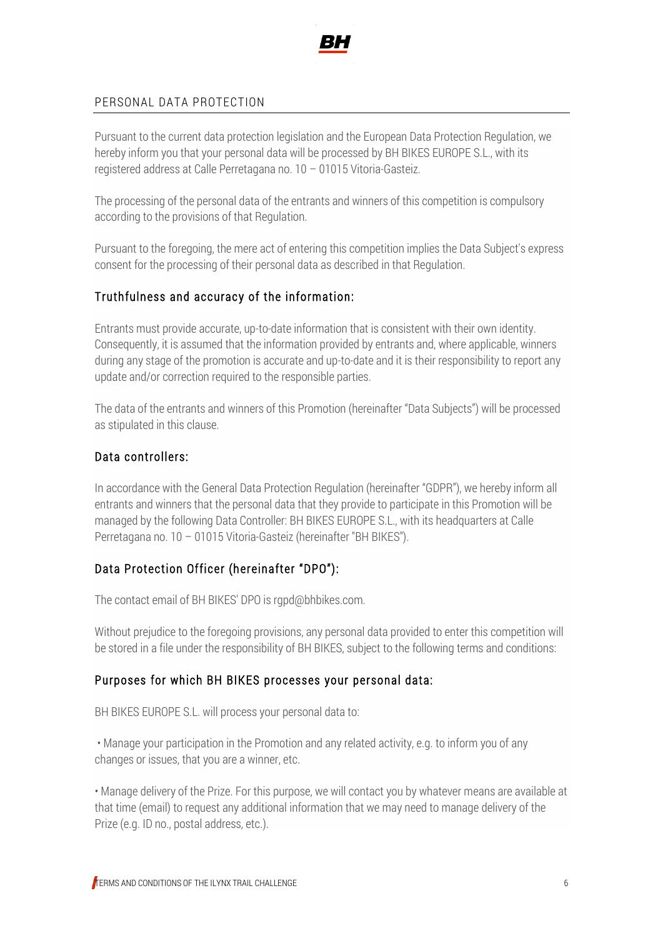

#### PERSONAL DATA PROTECTION

Pursuant to the current data protection legislation and the European Data Protection Regulation, we hereby inform you that your personal data will be processed by BH BIKES EUROPE S.L., with its registered address at Calle Perretagana no. 10 – 01015 Vitoria-Gasteiz.

The processing of the personal data of the entrants and winners of this competition is compulsory according to the provisions of that Regulation.

Pursuant to the foregoing, the mere act of entering this competition implies the Data Subject's express consent for the processing of their personal data as described in that Regulation.

# Truthfulness and accuracy of the information:

Entrants must provide accurate, up-to-date information that is consistent with their own identity. Consequently, it is assumed that the information provided by entrants and, where applicable, winners during any stage of the promotion is accurate and up-to-date and it is their responsibility to report any update and/or correction required to the responsible parties.

The data of the entrants and winners of this Promotion (hereinafter "Data Subjects") will be processed as stipulated in this clause.

#### Data controllers:

In accordance with the General Data Protection Regulation (hereinafter "GDPR"), we hereby inform all entrants and winners that the personal data that they provide to participate in this Promotion will be managed by the following Data Controller: BH BIKES EUROPE S.L., with its headquarters at Calle Perretagana no. 10 – 01015 Vitoria-Gasteiz (hereinafter "BH BIKES").

#### Data Protection Officer (hereinafter "DPO"):

The contact email of BH BIKES' DPO is rgpd@bhbikes.com.

Without prejudice to the foregoing provisions, any personal data provided to enter this competition will be stored in a file under the responsibility of BH BIKES, subject to the following terms and conditions:

#### Purposes for which BH BIKES processes your personal data:

BH BIKES EUROPE S.L. will process your personal data to:

• Manage your participation in the Promotion and any related activity, e.g. to inform you of any changes or issues, that you are a winner, etc.

• Manage delivery of the Prize. For this purpose, we will contact you by whatever means are available at that time (email) to request any additional information that we may need to manage delivery of the Prize (e.g. ID no., postal address, etc.).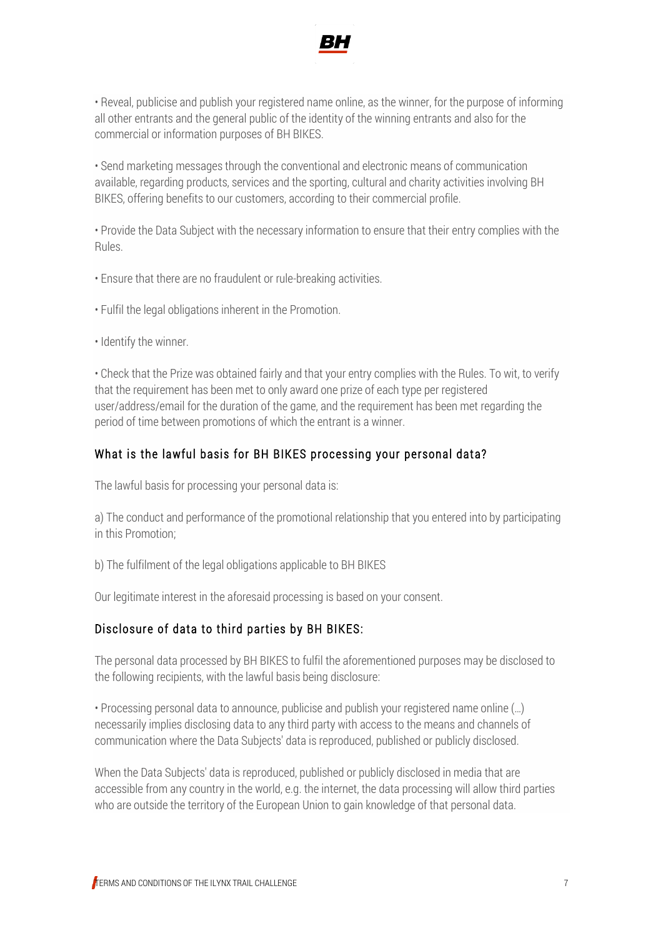

• Reveal, publicise and publish your registered name online, as the winner, for the purpose of informing all other entrants and the general public of the identity of the winning entrants and also for the commercial or information purposes of BH BIKES.

• Send marketing messages through the conventional and electronic means of communication available, regarding products, services and the sporting, cultural and charity activities involving BH BIKES, offering benefits to our customers, according to their commercial profile.

• Provide the Data Subject with the necessary information to ensure that their entry complies with the Rules.

• Ensure that there are no fraudulent or rule-breaking activities.

• Fulfil the legal obligations inherent in the Promotion.

• Identify the winner.

• Check that the Prize was obtained fairly and that your entry complies with the Rules. To wit, to verify that the requirement has been met to only award one prize of each type per registered user/address/email for the duration of the game, and the requirement has been met regarding the period of time between promotions of which the entrant is a winner.

#### What is the lawful basis for BH BIKES processing your personal data?

The lawful basis for processing your personal data is:

a) The conduct and performance of the promotional relationship that you entered into by participating in this Promotion;

b) The fulfilment of the legal obligations applicable to BH BIKES

Our legitimate interest in the aforesaid processing is based on your consent.

#### Disclosure of data to third parties by BH BIKES:

The personal data processed by BH BIKES to fulfil the aforementioned purposes may be disclosed to the following recipients, with the lawful basis being disclosure:

• Processing personal data to announce, publicise and publish your registered name online (…) necessarily implies disclosing data to any third party with access to the means and channels of communication where the Data Subjects' data is reproduced, published or publicly disclosed.

When the Data Subjects' data is reproduced, published or publicly disclosed in media that are accessible from any country in the world, e.g. the internet, the data processing will allow third parties who are outside the territory of the European Union to gain knowledge of that personal data.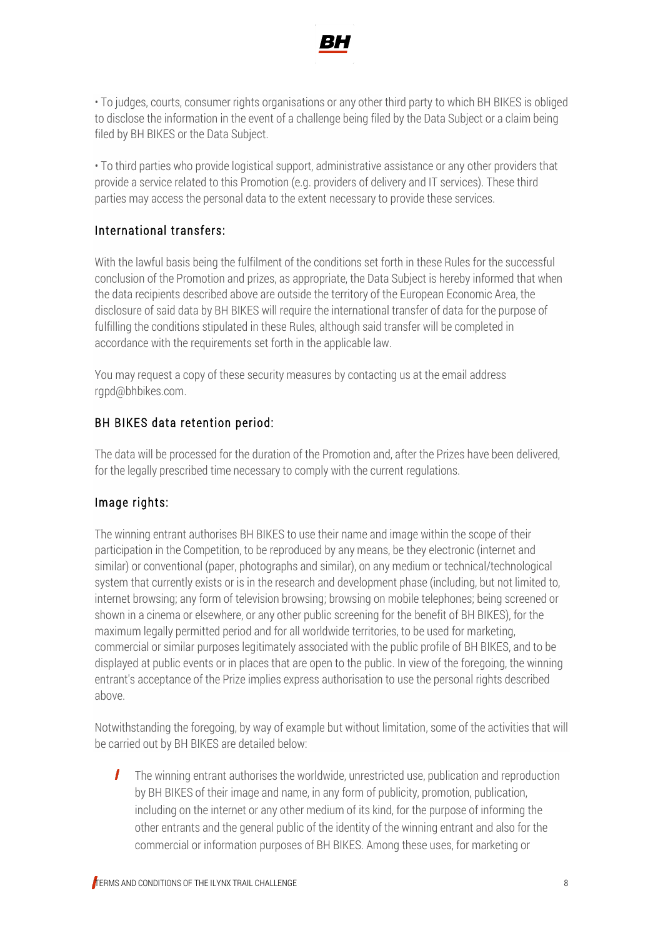

• To judges, courts, consumer rights organisations or any other third party to which BH BIKES is obliged to disclose the information in the event of a challenge being filed by the Data Subject or a claim being filed by BH BIKES or the Data Subject.

• To third parties who provide logistical support, administrative assistance or any other providers that provide a service related to this Promotion (e.g. providers of delivery and IT services). These third parties may access the personal data to the extent necessary to provide these services.

# International transfers:

With the lawful basis being the fulfilment of the conditions set forth in these Rules for the successful conclusion of the Promotion and prizes, as appropriate, the Data Subject is hereby informed that when the data recipients described above are outside the territory of the European Economic Area, the disclosure of said data by BH BIKES will require the international transfer of data for the purpose of fulfilling the conditions stipulated in these Rules, although said transfer will be completed in accordance with the requirements set forth in the applicable law.

You may request a copy of these security measures by contacting us at the email address rgpd@bhbikes.com.

# BH BIKES data retention period:

The data will be processed for the duration of the Promotion and, after the Prizes have been delivered, for the legally prescribed time necessary to comply with the current regulations.

# Image rights:

The winning entrant authorises BH BIKES to use their name and image within the scope of their participation in the Competition, to be reproduced by any means, be they electronic (internet and similar) or conventional (paper, photographs and similar), on any medium or technical/technological system that currently exists or is in the research and development phase (including, but not limited to, internet browsing; any form of television browsing; browsing on mobile telephones; being screened or shown in a cinema or elsewhere, or any other public screening for the benefit of BH BIKES), for the maximum legally permitted period and for all worldwide territories, to be used for marketing, commercial or similar purposes legitimately associated with the public profile of BH BIKES, and to be displayed at public events or in places that are open to the public. In view of the foregoing, the winning entrant's acceptance of the Prize implies express authorisation to use the personal rights described above.

Notwithstanding the foregoing, by way of example but without limitation, some of the activities that will be carried out by BH BIKES are detailed below:

T The winning entrant authorises the worldwide, unrestricted use, publication and reproduction by BH BIKES of their image and name, in any form of publicity, promotion, publication, including on the internet or any other medium of its kind, for the purpose of informing the other entrants and the general public of the identity of the winning entrant and also for the commercial or information purposes of BH BIKES. Among these uses, for marketing or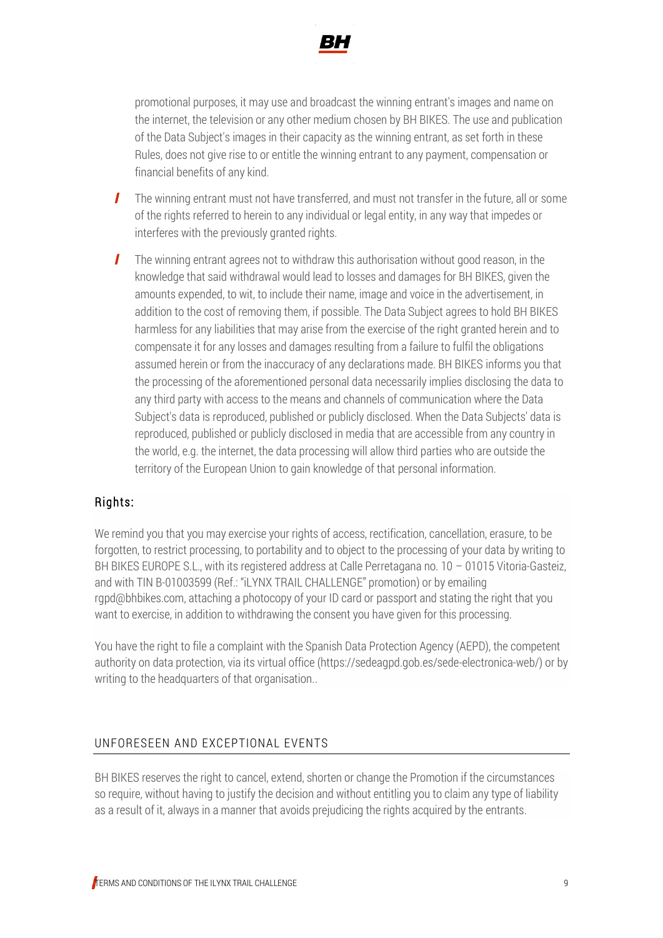

promotional purposes, it may use and broadcast the winning entrant's images and name on the internet, the television or any other medium chosen by BH BIKES. The use and publication of the Data Subject's images in their capacity as the winning entrant, as set forth in these Rules, does not give rise to or entitle the winning entrant to any payment, compensation or financial benefits of any kind.

- $\mathbf{I}$ The winning entrant must not have transferred, and must not transfer in the future, all or some of the rights referred to herein to any individual or legal entity, in any way that impedes or interferes with the previously granted rights.
- $\mathbf{I}$ The winning entrant agrees not to withdraw this authorisation without good reason, in the knowledge that said withdrawal would lead to losses and damages for BH BIKES, given the amounts expended, to wit, to include their name, image and voice in the advertisement, in addition to the cost of removing them, if possible. The Data Subject agrees to hold BH BIKES harmless for any liabilities that may arise from the exercise of the right granted herein and to compensate it for any losses and damages resulting from a failure to fulfil the obligations assumed herein or from the inaccuracy of any declarations made. BH BIKES informs you that the processing of the aforementioned personal data necessarily implies disclosing the data to any third party with access to the means and channels of communication where the Data Subject's data is reproduced, published or publicly disclosed. When the Data Subjects' data is reproduced, published or publicly disclosed in media that are accessible from any country in the world, e.g. the internet, the data processing will allow third parties who are outside the territory of the European Union to gain knowledge of that personal information.

# Rights:

We remind you that you may exercise your rights of access, rectification, cancellation, erasure, to be forgotten, to restrict processing, to portability and to object to the processing of your data by writing to BH BIKES EUROPE S.L., with its registered address at Calle Perretagana no. 10 – 01015 Vitoria-Gasteiz, and with TIN B-01003599 (Ref.: "iLYNX TRAIL CHALLENGE" promotion) or by emailing rgpd@bhbikes.com, attaching a photocopy of your ID card or passport and stating the right that you want to exercise, in addition to withdrawing the consent you have given for this processing.

You have the right to file a complaint with the Spanish Data Protection Agency (AEPD), the competent authority on data protection, via its virtual office (https://sedeagpd.gob.es/sede-electronica-web/) or by writing to the headquarters of that organisation..

#### UNFORESEEN AND EXCEPTIONAL EVENTS

BH BIKES reserves the right to cancel, extend, shorten or change the Promotion if the circumstances so require, without having to justify the decision and without entitling you to claim any type of liability as a result of it, always in a manner that avoids prejudicing the rights acquired by the entrants.